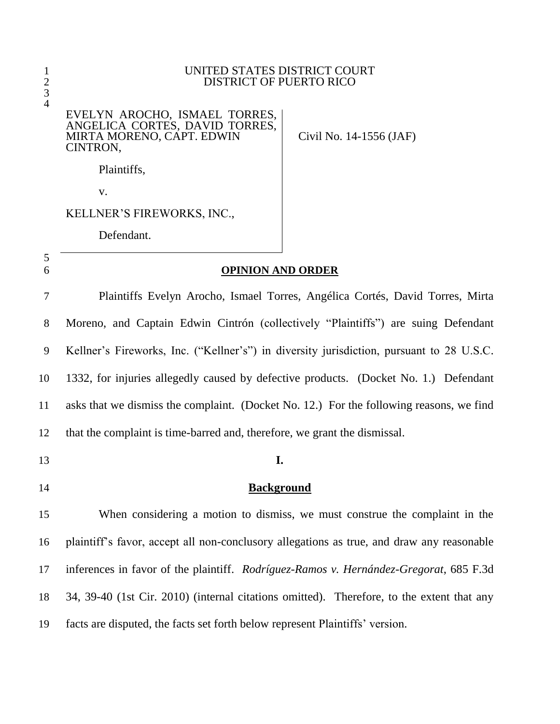#### UNITED STATES DISTRICT COURT DISTRICT OF PUERTO RICO

### EVELYN AROCHO, ISMAEL TORRES, ANGELICA CORTES, DAVID TORRES, MIRTA MORENO, CAPT. EDWIN CINTRON,

Civil No. 14-1556 (JAF)

Plaintiffs,

v.

KELLNER'S FIREWORKS, INC.,

Defendant.

# **OPINION AND ORDER**

 Plaintiffs Evelyn Arocho, Ismael Torres, Angélica Cortés, David Torres, Mirta Moreno, and Captain Edwin Cintrón (collectively "Plaintiffs") are suing Defendant Kellner's Fireworks, Inc. ("Kellner's") in diversity jurisdiction, pursuant to 28 U.S.C. 1332, for injuries allegedly caused by defective products. (Docket No. 1.) Defendant asks that we dismiss the complaint. (Docket No. 12.) For the following reasons, we find that the complaint is time-barred and, therefore, we grant the dismissal.

## **I.**

**Background**

 When considering a motion to dismiss, we must construe the complaint in the plaintiff's favor, accept all non-conclusory allegations as true, and draw any reasonable inferences in favor of the plaintiff. *Rodríguez-Ramos v. Hernández-Gregorat*, 685 F.3d 34, 39-40 (1st Cir. 2010) (internal citations omitted). Therefore, to the extent that any facts are disputed, the facts set forth below represent Plaintiffs' version.

 $\frac{2}{3}$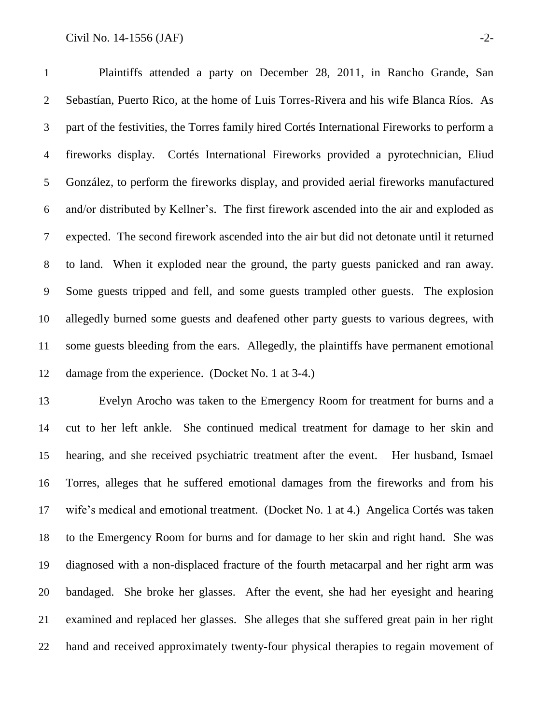### Civil No.  $14-1556$  (JAF)  $-2-$

 Plaintiffs attended a party on December 28, 2011, in Rancho Grande, San Sebastían, Puerto Rico, at the home of Luis Torres-Rivera and his wife Blanca Ríos. As part of the festivities, the Torres family hired Cortés International Fireworks to perform a fireworks display. Cortés International Fireworks provided a pyrotechnician, Eliud González, to perform the fireworks display, and provided aerial fireworks manufactured and/or distributed by Kellner's. The first firework ascended into the air and exploded as expected. The second firework ascended into the air but did not detonate until it returned to land. When it exploded near the ground, the party guests panicked and ran away. Some guests tripped and fell, and some guests trampled other guests. The explosion allegedly burned some guests and deafened other party guests to various degrees, with some guests bleeding from the ears. Allegedly, the plaintiffs have permanent emotional damage from the experience. (Docket No. 1 at 3-4.)

 Evelyn Arocho was taken to the Emergency Room for treatment for burns and a cut to her left ankle. She continued medical treatment for damage to her skin and hearing, and she received psychiatric treatment after the event. Her husband, Ismael Torres, alleges that he suffered emotional damages from the fireworks and from his wife's medical and emotional treatment. (Docket No. 1 at 4.) Angelica Cortés was taken to the Emergency Room for burns and for damage to her skin and right hand. She was diagnosed with a non-displaced fracture of the fourth metacarpal and her right arm was bandaged. She broke her glasses. After the event, she had her eyesight and hearing examined and replaced her glasses. She alleges that she suffered great pain in her right hand and received approximately twenty-four physical therapies to regain movement of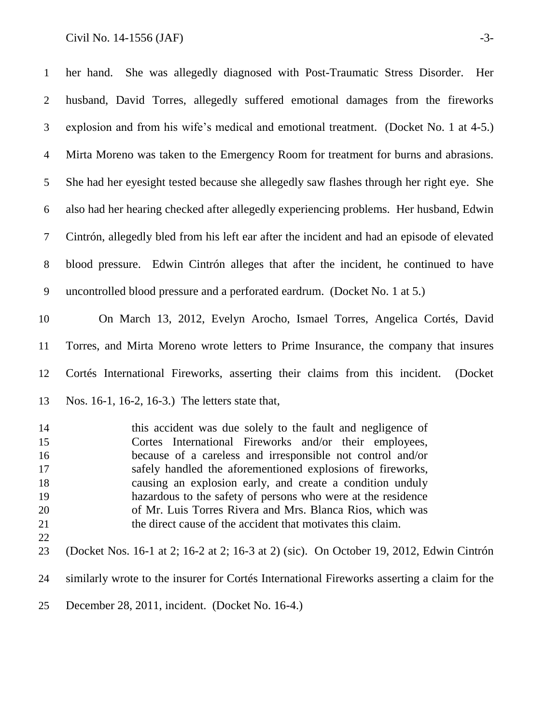### Civil No.  $14-1556$  (JAF)  $-3-$

| $\mathbf{1}$   | She was allegedly diagnosed with Post-Traumatic Stress Disorder. Her<br>her hand.                                    |
|----------------|----------------------------------------------------------------------------------------------------------------------|
| 2              | husband, David Torres, allegedly suffered emotional damages from the fireworks                                       |
| 3              | explosion and from his wife's medical and emotional treatment. (Docket No. 1 at 4-5.)                                |
| $\overline{4}$ | Mirta Moreno was taken to the Emergency Room for treatment for burns and abrasions.                                  |
| 5              | She had her eyesight tested because she allegedly saw flashes through her right eye. She                             |
| 6              | also had her hearing checked after allegedly experiencing problems. Her husband, Edwin                               |
| $\tau$         | Cintrón, allegedly bled from his left ear after the incident and had an episode of elevated                          |
| $8\phantom{.}$ | blood pressure. Edwin Cintrón alleges that after the incident, he continued to have                                  |
| 9              | uncontrolled blood pressure and a perforated eardrum. (Docket No. 1 at 5.)                                           |
| 10             | On March 13, 2012, Evelyn Arocho, Ismael Torres, Angelica Cortés, David                                              |
| 11             | Torres, and Mirta Moreno wrote letters to Prime Insurance, the company that insures                                  |
| 12             | Cortés International Fireworks, asserting their claims from this incident.<br>(Docket)                               |
| 13             | Nos. 16-1, 16-2, 16-3.) The letters state that,                                                                      |
| 14<br>15       | this accident was due solely to the fault and negligence of<br>Cortes International Eireworks and/or their employees |

 Cortes International Fireworks and/or their employees, because of a careless and irresponsible not control and/or safely handled the aforementioned explosions of fireworks, causing an explosion early, and create a condition unduly hazardous to the safety of persons who were at the residence of Mr. Luis Torres Rivera and Mrs. Blanca Rios, which was 21 the direct cause of the accident that motivates this claim. 

(Docket Nos. 16-1 at 2; 16-2 at 2; 16-3 at 2) (sic). On October 19, 2012, Edwin Cintrón

similarly wrote to the insurer for Cortés International Fireworks asserting a claim for the

December 28, 2011, incident. (Docket No. 16-4.)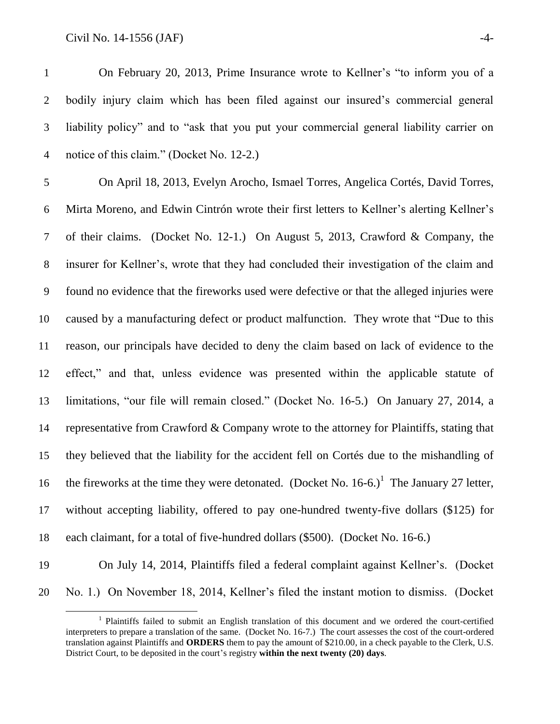$Civil No. 14-1556 (JAF)$   $-4-$ 

 On February 20, 2013, Prime Insurance wrote to Kellner's "to inform you of a bodily injury claim which has been filed against our insured's commercial general liability policy" and to "ask that you put your commercial general liability carrier on notice of this claim." (Docket No. 12-2.)

 On April 18, 2013, Evelyn Arocho, Ismael Torres, Angelica Cortés, David Torres, Mirta Moreno, and Edwin Cintrón wrote their first letters to Kellner's alerting Kellner's of their claims. (Docket No. 12-1.) On August 5, 2013, Crawford & Company, the insurer for Kellner's, wrote that they had concluded their investigation of the claim and found no evidence that the fireworks used were defective or that the alleged injuries were caused by a manufacturing defect or product malfunction. They wrote that "Due to this reason, our principals have decided to deny the claim based on lack of evidence to the effect," and that, unless evidence was presented within the applicable statute of limitations, "our file will remain closed." (Docket No. 16-5.) On January 27, 2014, a representative from Crawford & Company wrote to the attorney for Plaintiffs, stating that they believed that the liability for the accident fell on Cortés due to the mishandling of 16 the fireworks at the time they were detonated. (Docket No.  $16-6$ .)<sup>1</sup> The January 27 letter, without accepting liability, offered to pay one-hundred twenty-five dollars (\$125) for each claimant, for a total of five-hundred dollars (\$500). (Docket No. 16-6.)

 $\overline{a}$ 

 On July 14, 2014, Plaintiffs filed a federal complaint against Kellner's. (Docket No. 1.) On November 18, 2014, Kellner's filed the instant motion to dismiss. (Docket

<sup>&</sup>lt;sup>1</sup> Plaintiffs failed to submit an English translation of this document and we ordered the court-certified interpreters to prepare a translation of the same. (Docket No. 16-7.) The court assesses the cost of the court-ordered translation against Plaintiffs and **ORDERS** them to pay the amount of \$210.00, in a check payable to the Clerk, U.S. District Court, to be deposited in the court's registry **within the next twenty (20) days**.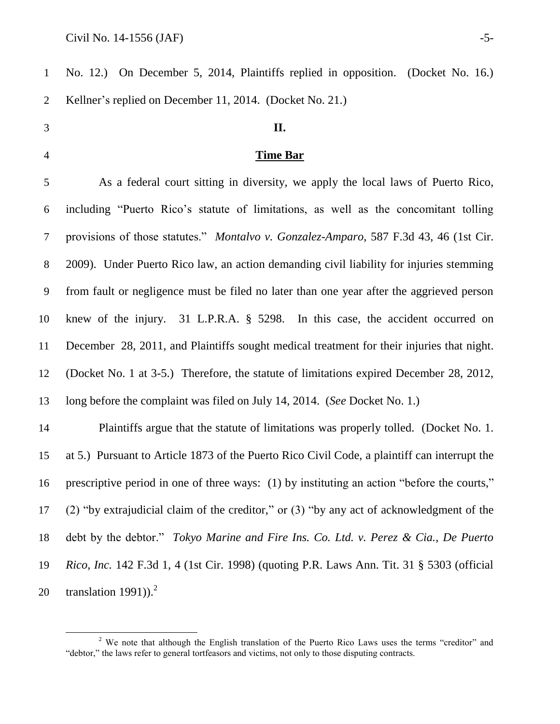$\overline{a}$ 

| $\mathbf{1}$ | No. 12.) On December 5, 2014, Plaintiffs replied in opposition. (Docket No. 16.)                 |
|--------------|--------------------------------------------------------------------------------------------------|
| 2            | Kellner's replied on December 11, 2014. (Docket No. 21.)                                         |
| 3            | II.                                                                                              |
| 4            | <b>Time Bar</b>                                                                                  |
| 5            | As a federal court sitting in diversity, we apply the local laws of Puerto Rico,                 |
| 6            | including "Puerto Rico's statute of limitations, as well as the concomitant tolling              |
| 7            | provisions of those statutes." Montalvo v. Gonzalez-Amparo, 587 F.3d 43, 46 (1st Cir.            |
| 8            | 2009). Under Puerto Rico law, an action demanding civil liability for injuries stemming          |
| 9            | from fault or negligence must be filed no later than one year after the aggrieved person         |
| 10           | knew of the injury. 31 L.P.R.A. § 5298. In this case, the accident occurred on                   |
| 11           | December 28, 2011, and Plaintiffs sought medical treatment for their injuries that night.        |
| 12           | (Docket No. 1 at 3-5.) Therefore, the statute of limitations expired December 28, 2012,          |
| 13           | long before the complaint was filed on July 14, 2014. (See Docket No. 1.)                        |
| 14           | Plaintiffs argue that the statute of limitations was properly tolled. (Docket No. 1.             |
| 15           | at 5.) Pursuant to Article 1873 of the Puerto Rico Civil Code, a plaintiff can interrupt the     |
| 16           | prescriptive period in one of three ways: (1) by instituting an action "before the courts,"      |
| 17           | (2) "by extrajudicial claim of the creditor," or $(3)$ "by any act of acknowledgment of the      |
| 18           | debt by the debtor." Tokyo Marine and Fire Ins. Co. Ltd. v. Perez & Cia., De Puerto              |
| 19           | <i>Rico, Inc.</i> 142 F.3d 1, 4 (1st Cir. 1998) (quoting P.R. Laws Ann. Tit. 31 § 5303 (official |
| 20           | translation 1991)). $^{2}$                                                                       |

 We note that although the English translation of the Puerto Rico Laws uses the terms "creditor" and "debtor," the laws refer to general tortfeasors and victims, not only to those disputing contracts.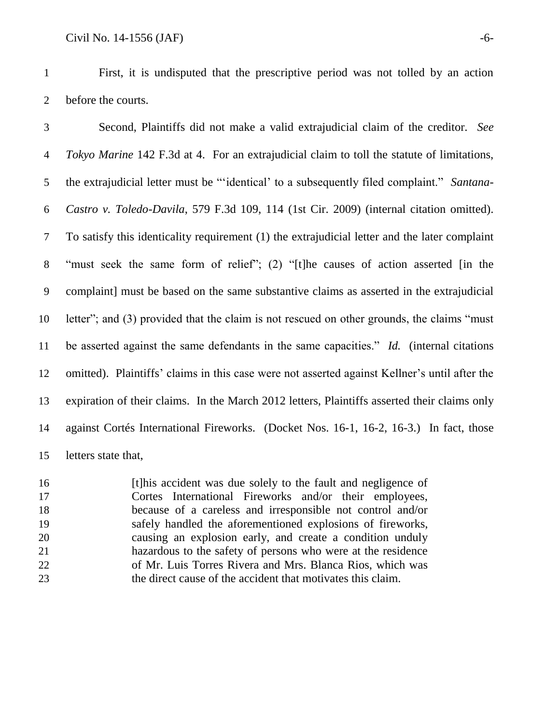First, it is undisputed that the prescriptive period was not tolled by an action before the courts.

 Second, Plaintiffs did not make a valid extrajudicial claim of the creditor. *See Tokyo Marine* 142 F.3d at 4. For an extrajudicial claim to toll the statute of limitations, the extrajudicial letter must be "'identical' to a subsequently filed complaint." *Santana- Castro v. Toledo-Davila*, 579 F.3d 109, 114 (1st Cir. 2009) (internal citation omitted). To satisfy this identicality requirement (1) the extrajudicial letter and the later complaint "must seek the same form of relief"; (2) "[t]he causes of action asserted [in the complaint] must be based on the same substantive claims as asserted in the extrajudicial letter"; and (3) provided that the claim is not rescued on other grounds, the claims "must be asserted against the same defendants in the same capacities." *Id.* (internal citations omitted). Plaintiffs' claims in this case were not asserted against Kellner's until after the expiration of their claims. In the March 2012 letters, Plaintiffs asserted their claims only against Cortés International Fireworks. (Docket Nos. 16-1, 16-2, 16-3.) In fact, those letters state that,

 [t]his accident was due solely to the fault and negligence of Cortes International Fireworks and/or their employees, because of a careless and irresponsible not control and/or safely handled the aforementioned explosions of fireworks, causing an explosion early, and create a condition unduly hazardous to the safety of persons who were at the residence of Mr. Luis Torres Rivera and Mrs. Blanca Rios, which was the direct cause of the accident that motivates this claim.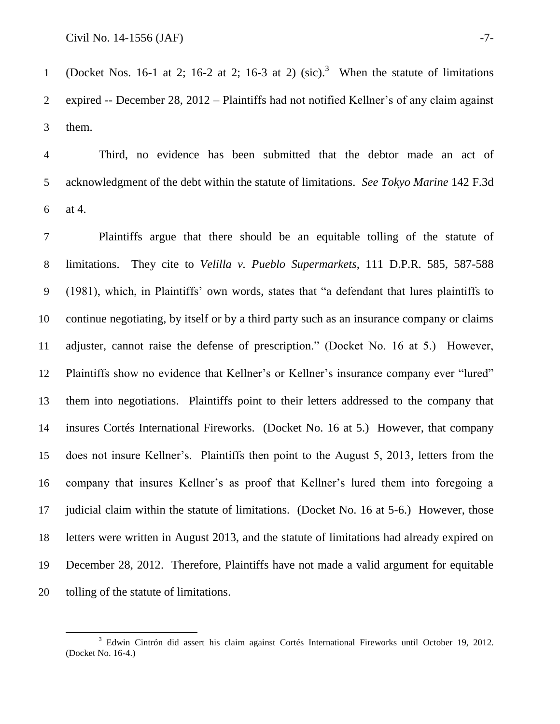$\overline{a}$ 

1 (Docket Nos. 16-1 at 2; 16-2 at 2; 16-3 at 2)  $(\text{sic})$ .<sup>3</sup> When the statute of limitations expired -- December 28, 2012 – Plaintiffs had not notified Kellner's of any claim against them.

 Third, no evidence has been submitted that the debtor made an act of acknowledgment of the debt within the statute of limitations. *See Tokyo Marine* 142 F.3d at 4.

 Plaintiffs argue that there should be an equitable tolling of the statute of limitations. They cite to *Velilla v. Pueblo Supermarkets*, 111 D.P.R. 585, 587-588 (1981), which, in Plaintiffs' own words, states that "a defendant that lures plaintiffs to continue negotiating, by itself or by a third party such as an insurance company or claims adjuster, cannot raise the defense of prescription." (Docket No. 16 at 5.) However, Plaintiffs show no evidence that Kellner's or Kellner's insurance company ever "lured" them into negotiations. Plaintiffs point to their letters addressed to the company that insures Cortés International Fireworks. (Docket No. 16 at 5.) However, that company does not insure Kellner's. Plaintiffs then point to the August 5, 2013, letters from the company that insures Kellner's as proof that Kellner's lured them into foregoing a judicial claim within the statute of limitations. (Docket No. 16 at 5-6.) However, those letters were written in August 2013, and the statute of limitations had already expired on December 28, 2012. Therefore, Plaintiffs have not made a valid argument for equitable tolling of the statute of limitations.

<sup>&</sup>lt;sup>3</sup> Edwin Cintrón did assert his claim against Cortés International Fireworks until October 19, 2012. (Docket No. 16-4.)